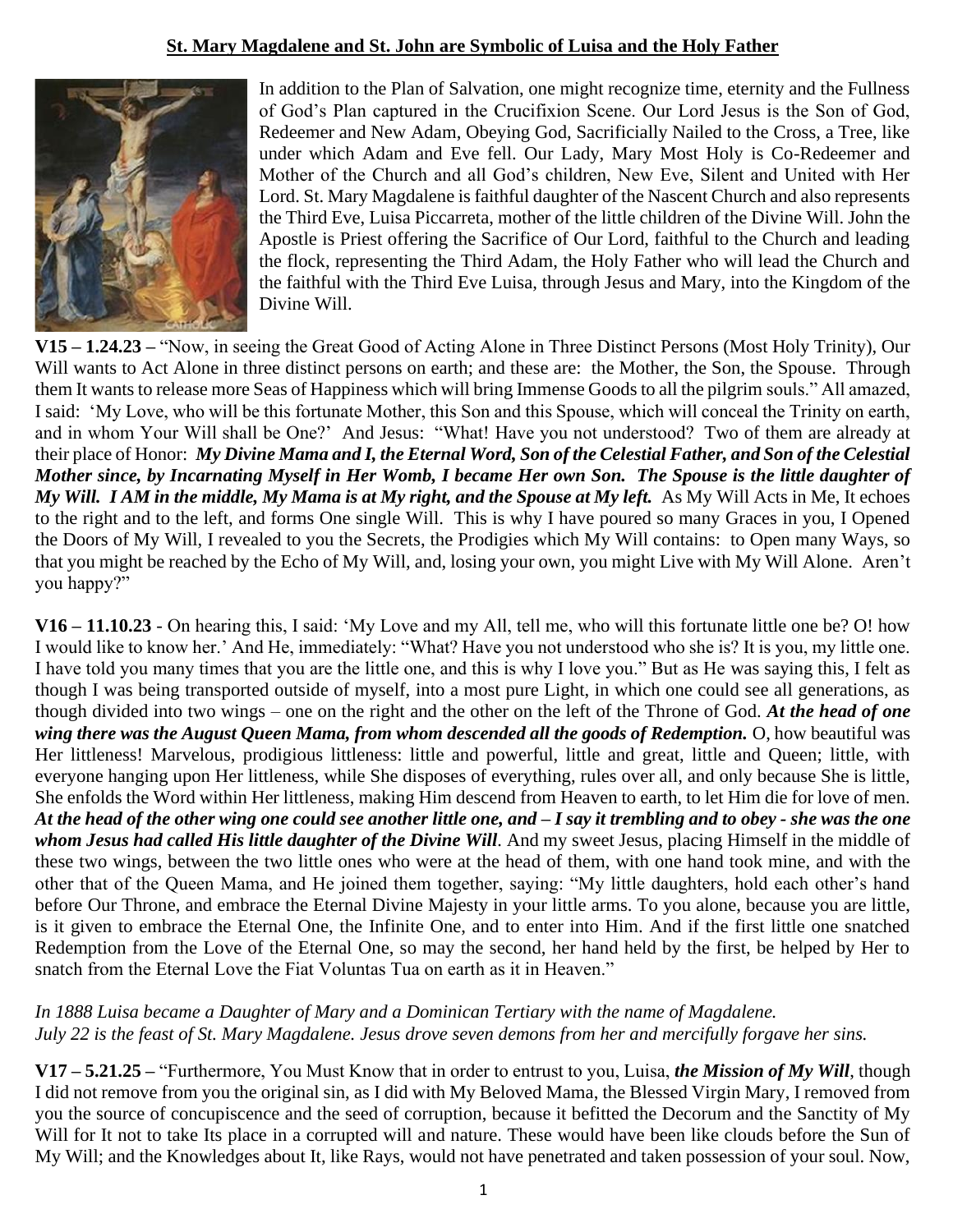# **St. Mary Magdalene and St. John are Symbolic of Luisa and the Holy Father**



In addition to the Plan of Salvation, one might recognize time, eternity and the Fullness of God's Plan captured in the Crucifixion Scene. Our Lord Jesus is the Son of God, Redeemer and New Adam, Obeying God, Sacrificially Nailed to the Cross, a Tree, like under which Adam and Eve fell. Our Lady, Mary Most Holy is Co-Redeemer and Mother of the Church and all God's children, New Eve, Silent and United with Her Lord. St. Mary Magdalene is faithful daughter of the Nascent Church and also represents the Third Eve, Luisa Piccarreta, mother of the little children of the Divine Will. John the Apostle is Priest offering the Sacrifice of Our Lord, faithful to the Church and leading the flock, representing the Third Adam, the Holy Father who will lead the Church and the faithful with the Third Eve Luisa, through Jesus and Mary, into the Kingdom of the Divine Will.

**V15 – 1.24.23 –** "Now, in seeing the Great Good of Acting Alone in Three Distinct Persons (Most Holy Trinity), Our Will wants to Act Alone in three distinct persons on earth; and these are: the Mother, the Son, the Spouse. Through them It wants to release more Seas of Happiness which will bring Immense Goods to all the pilgrim souls." All amazed, I said: 'My Love, who will be this fortunate Mother, this Son and this Spouse, which will conceal the Trinity on earth, and in whom Your Will shall be One?' And Jesus: "What! Have you not understood? Two of them are already at their place of Honor: *My Divine Mama and I, the Eternal Word, Son of the Celestial Father, and Son of the Celestial Mother since, by Incarnating Myself in Her Womb, I became Her own Son. The Spouse is the little daughter of My Will. I AM in the middle, My Mama is at My right, and the Spouse at My left.* As My Will Acts in Me, It echoes to the right and to the left, and forms One single Will. This is why I have poured so many Graces in you, I Opened the Doors of My Will, I revealed to you the Secrets, the Prodigies which My Will contains: to Open many Ways, so that you might be reached by the Echo of My Will, and, losing your own, you might Live with My Will Alone. Aren't you happy?"

**V16 – 11.10.23** - On hearing this, I said: 'My Love and my All, tell me, who will this fortunate little one be? O! how I would like to know her.' And He, immediately: "What? Have you not understood who she is? It is you, my little one. I have told you many times that you are the little one, and this is why I love you." But as He was saying this, I felt as though I was being transported outside of myself, into a most pure Light, in which one could see all generations, as though divided into two wings – one on the right and the other on the left of the Throne of God. *At the head of one wing there was the August Queen Mama, from whom descended all the goods of Redemption.* O, how beautiful was Her littleness! Marvelous, prodigious littleness: little and powerful, little and great, little and Queen; little, with everyone hanging upon Her littleness, while She disposes of everything, rules over all, and only because She is little, She enfolds the Word within Her littleness, making Him descend from Heaven to earth, to let Him die for love of men. *At the head of the other wing one could see another little one, and – I say it trembling and to obey - she was the one whom Jesus had called His little daughter of the Divine Will.* And my sweet Jesus, placing Himself in the middle of these two wings, between the two little ones who were at the head of them, with one hand took mine, and with the other that of the Queen Mama, and He joined them together, saying: "My little daughters, hold each other's hand before Our Throne, and embrace the Eternal Divine Majesty in your little arms. To you alone, because you are little, is it given to embrace the Eternal One, the Infinite One, and to enter into Him. And if the first little one snatched Redemption from the Love of the Eternal One, so may the second, her hand held by the first, be helped by Her to snatch from the Eternal Love the Fiat Voluntas Tua on earth as it in Heaven."

### *In 1888 Luisa became a Daughter of Mary and a Dominican Tertiary with the name of Magdalene. July 22 is the feast of St. Mary Magdalene. Jesus drove seven demons from her and mercifully forgave her sins.*

**V17 – 5.21.25 –** "Furthermore, You Must Know that in order to entrust to you, Luisa, *the Mission of My Will*, though I did not remove from you the original sin, as I did with My Beloved Mama, the Blessed Virgin Mary, I removed from you the source of concupiscence and the seed of corruption, because it befitted the Decorum and the Sanctity of My Will for It not to take Its place in a corrupted will and nature. These would have been like clouds before the Sun of My Will; and the Knowledges about It, like Rays, would not have penetrated and taken possession of your soul. Now,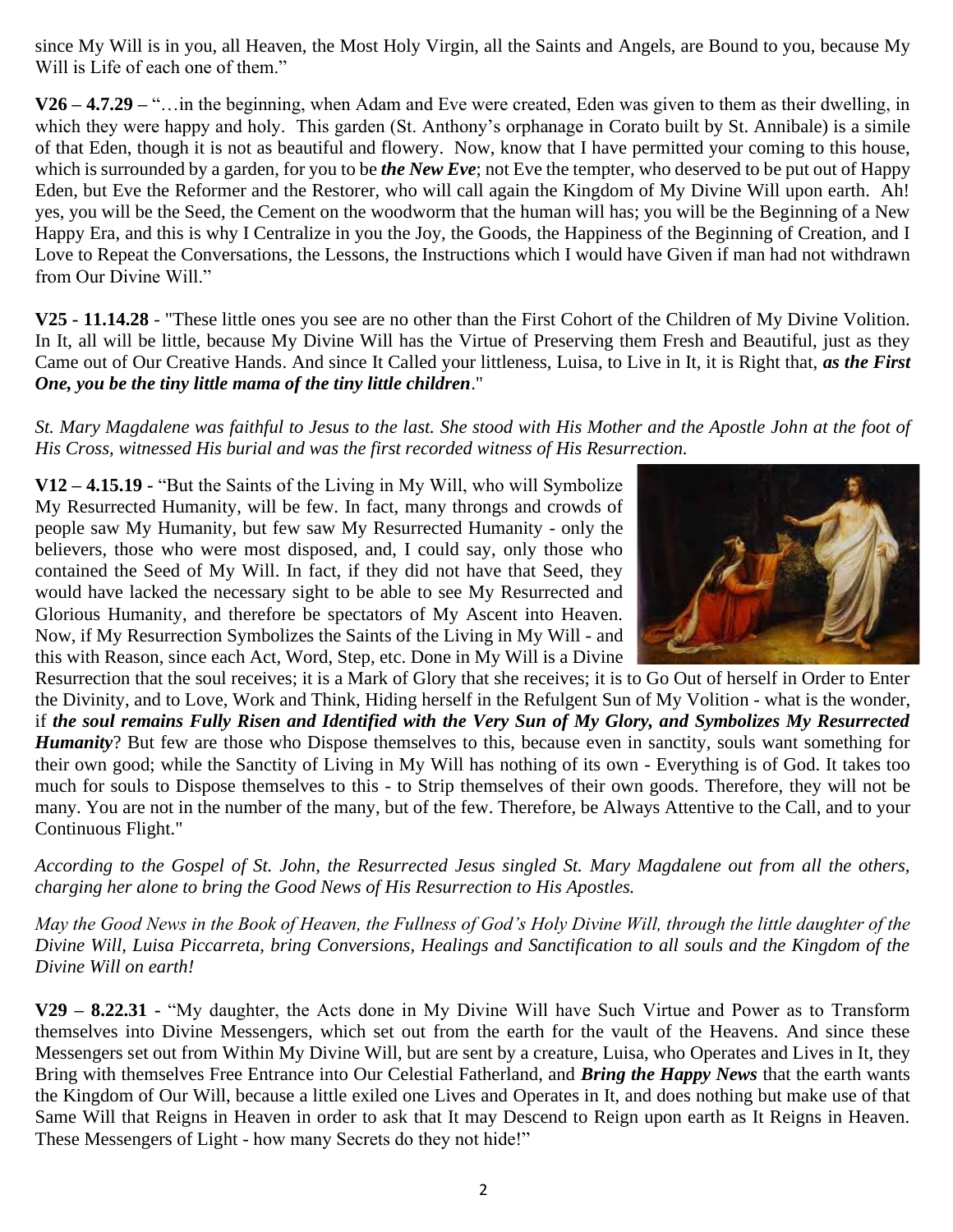since My Will is in you, all Heaven, the Most Holy Virgin, all the Saints and Angels, are Bound to you, because My Will is Life of each one of them."

**V26 – 4.7.29 –** "…in the beginning, when Adam and Eve were created, Eden was given to them as their dwelling, in which they were happy and holy. This garden (St. Anthony's orphanage in Corato built by St. Annibale) is a simile of that Eden, though it is not as beautiful and flowery. Now, know that I have permitted your coming to this house, which is surrounded by a garden, for you to be *the New Eve*; not Eve the tempter, who deserved to be put out of Happy Eden, but Eve the Reformer and the Restorer, who will call again the Kingdom of My Divine Will upon earth. Ah! yes, you will be the Seed, the Cement on the woodworm that the human will has; you will be the Beginning of a New Happy Era, and this is why I Centralize in you the Joy, the Goods, the Happiness of the Beginning of Creation, and I Love to Repeat the Conversations, the Lessons, the Instructions which I would have Given if man had not withdrawn from Our Divine Will."

**V25 - 11.14.28** - "These little ones you see are no other than the First Cohort of the Children of My Divine Volition. In It, all will be little, because My Divine Will has the Virtue of Preserving them Fresh and Beautiful, just as they Came out of Our Creative Hands. And since It Called your littleness, Luisa, to Live in It, it is Right that, *as the First One, you be the tiny little mama of the tiny little children*."

*St. Mary Magdalene was faithful to Jesus to the last. She stood with His Mother and the Apostle John at the foot of His Cross, witnessed His burial and was the first recorded witness of His Resurrection.*

**V12 – 4.15.19 -** "But the Saints of the Living in My Will, who will Symbolize My Resurrected Humanity, will be few. In fact, many throngs and crowds of people saw My Humanity, but few saw My Resurrected Humanity - only the believers, those who were most disposed, and, I could say, only those who contained the Seed of My Will. In fact, if they did not have that Seed, they would have lacked the necessary sight to be able to see My Resurrected and Glorious Humanity, and therefore be spectators of My Ascent into Heaven. Now, if My Resurrection Symbolizes the Saints of the Living in My Will - and this with Reason, since each Act, Word, Step, etc. Done in My Will is a Divine



Resurrection that the soul receives; it is a Mark of Glory that she receives; it is to Go Out of herself in Order to Enter the Divinity, and to Love, Work and Think, Hiding herself in the Refulgent Sun of My Volition - what is the wonder, if *the soul remains Fully Risen and Identified with the Very Sun of My Glory, and Symbolizes My Resurrected Humanity*? But few are those who Dispose themselves to this, because even in sanctity, souls want something for their own good; while the Sanctity of Living in My Will has nothing of its own - Everything is of God. It takes too much for souls to Dispose themselves to this - to Strip themselves of their own goods. Therefore, they will not be many. You are not in the number of the many, but of the few. Therefore, be Always Attentive to the Call, and to your Continuous Flight."

*According to the Gospel of St. John, the Resurrected Jesus singled St. Mary Magdalene out from all the others, charging her alone to bring the Good News of His Resurrection to His Apostles.* 

*May the Good News in the Book of Heaven, the Fullness of God's Holy Divine Will, through the little daughter of the Divine Will, Luisa Piccarreta, bring Conversions, Healings and Sanctification to all souls and the Kingdom of the Divine Will on earth!*

**V29 – 8.22.31 -** "My daughter, the Acts done in My Divine Will have Such Virtue and Power as to Transform themselves into Divine Messengers, which set out from the earth for the vault of the Heavens. And since these Messengers set out from Within My Divine Will, but are sent by a creature, Luisa, who Operates and Lives in It, they Bring with themselves Free Entrance into Our Celestial Fatherland, and *Bring the Happy News* that the earth wants the Kingdom of Our Will, because a little exiled one Lives and Operates in It, and does nothing but make use of that Same Will that Reigns in Heaven in order to ask that It may Descend to Reign upon earth as It Reigns in Heaven. These Messengers of Light - how many Secrets do they not hide!"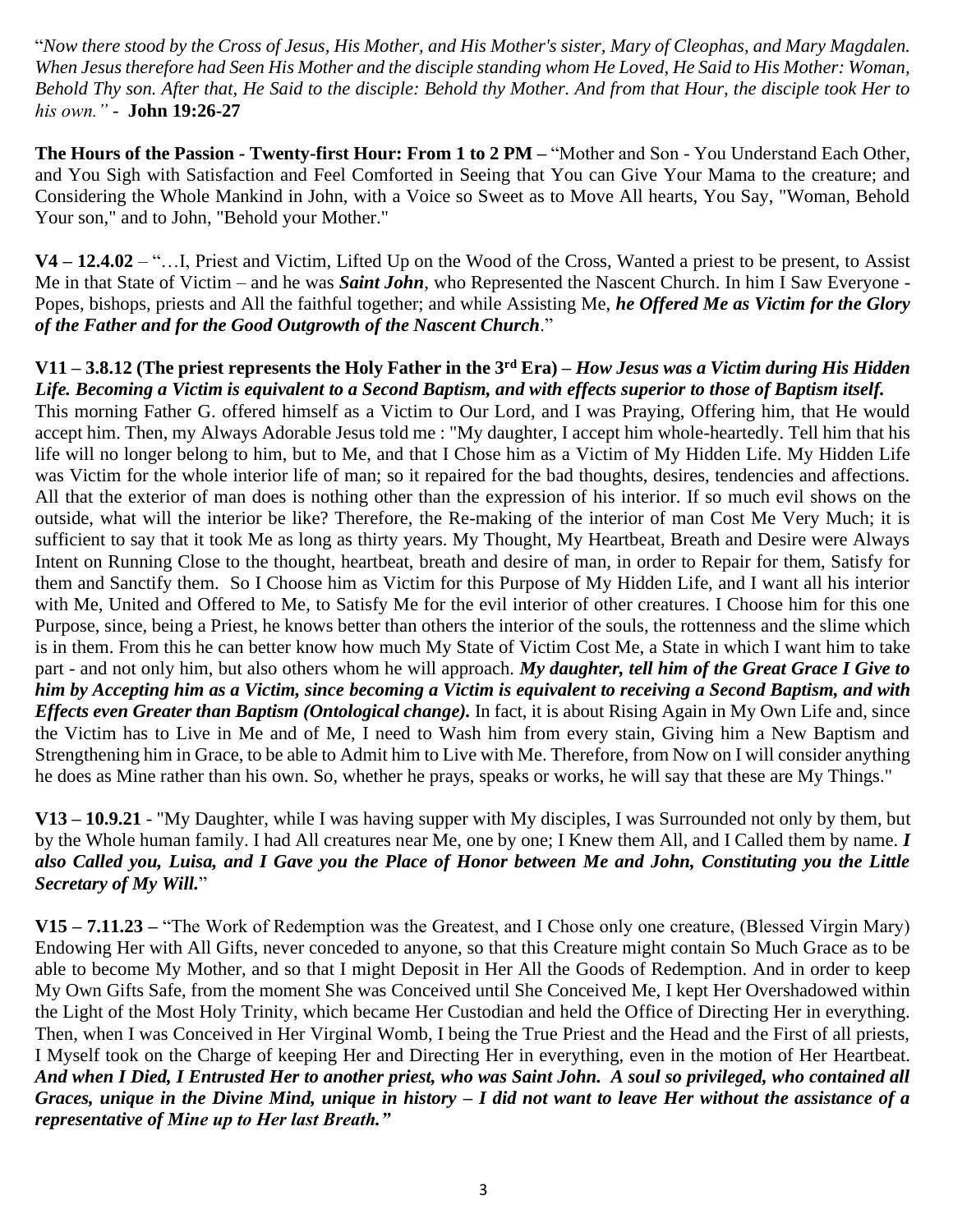"*Now there stood by the Cross of Jesus, His Mother, and His Mother's sister, Mary of Cleophas, and Mary Magdalen. When Jesus therefore had Seen His Mother and the disciple standing whom He Loved, He Said to His Mother: Woman, Behold Thy son. After that, He Said to the disciple: Behold thy Mother. And from that Hour, the disciple took Her to his own." -* **John 19:26-27**

**The Hours of the Passion - Twenty-first Hour: From 1 to 2 PM –** "Mother and Son - You Understand Each Other, and You Sigh with Satisfaction and Feel Comforted in Seeing that You can Give Your Mama to the creature; and Considering the Whole Mankind in John, with a Voice so Sweet as to Move All hearts, You Say, "Woman, Behold Your son," and to John, "Behold your Mother."

**V4 – 12.4.02** – "…I, Priest and Victim, Lifted Up on the Wood of the Cross, Wanted a priest to be present, to Assist Me in that State of Victim – and he was *Saint John*, who Represented the Nascent Church. In him I Saw Everyone - Popes, bishops, priests and All the faithful together; and while Assisting Me, *he Offered Me as Victim for the Glory of the Father and for the Good Outgrowth of the Nascent Church*."

#### **V11 – 3.8.12 (The priest represents the Holy Father in the 3rd Era) –** *How Jesus was a Victim during His Hidden Life. Becoming a Victim is equivalent to a Second Baptism, and with effects superior to those of Baptism itself.*

This morning Father G. offered himself as a Victim to Our Lord, and I was Praying, Offering him, that He would accept him. Then, my Always Adorable Jesus told me : "My daughter, I accept him whole-heartedly. Tell him that his life will no longer belong to him, but to Me, and that I Chose him as a Victim of My Hidden Life. My Hidden Life was Victim for the whole interior life of man; so it repaired for the bad thoughts, desires, tendencies and affections. All that the exterior of man does is nothing other than the expression of his interior. If so much evil shows on the outside, what will the interior be like? Therefore, the Re-making of the interior of man Cost Me Very Much; it is sufficient to say that it took Me as long as thirty years. My Thought, My Heartbeat, Breath and Desire were Always Intent on Running Close to the thought, heartbeat, breath and desire of man, in order to Repair for them, Satisfy for them and Sanctify them. So I Choose him as Victim for this Purpose of My Hidden Life, and I want all his interior with Me, United and Offered to Me, to Satisfy Me for the evil interior of other creatures. I Choose him for this one Purpose, since, being a Priest, he knows better than others the interior of the souls, the rottenness and the slime which is in them. From this he can better know how much My State of Victim Cost Me, a State in which I want him to take part - and not only him, but also others whom he will approach. *My daughter, tell him of the Great Grace I Give to him by Accepting him as a Victim, since becoming a Victim is equivalent to receiving a Second Baptism, and with Effects even Greater than Baptism (Ontological change).* In fact, it is about Rising Again in My Own Life and, since the Victim has to Live in Me and of Me, I need to Wash him from every stain, Giving him a New Baptism and Strengthening him in Grace, to be able to Admit him to Live with Me. Therefore, from Now on I will consider anything he does as Mine rather than his own. So, whether he prays, speaks or works, he will say that these are My Things."

**V13 – 10.9.21** - "My Daughter, while I was having supper with My disciples, I was Surrounded not only by them, but by the Whole human family. I had All creatures near Me, one by one; I Knew them All, and I Called them by name. *I also Called you, Luisa, and I Gave you the Place of Honor between Me and John, Constituting you the Little Secretary of My Will.*"

**V15 – 7.11.23 –** "The Work of Redemption was the Greatest, and I Chose only one creature, (Blessed Virgin Mary) Endowing Her with All Gifts, never conceded to anyone, so that this Creature might contain So Much Grace as to be able to become My Mother, and so that I might Deposit in Her All the Goods of Redemption. And in order to keep My Own Gifts Safe, from the moment She was Conceived until She Conceived Me, I kept Her Overshadowed within the Light of the Most Holy Trinity, which became Her Custodian and held the Office of Directing Her in everything. Then, when I was Conceived in Her Virginal Womb, I being the True Priest and the Head and the First of all priests, I Myself took on the Charge of keeping Her and Directing Her in everything, even in the motion of Her Heartbeat. *And when I Died, I Entrusted Her to another priest, who was Saint John. A soul so privileged, who contained all Graces, unique in the Divine Mind, unique in history – I did not want to leave Her without the assistance of a representative of Mine up to Her last Breath."*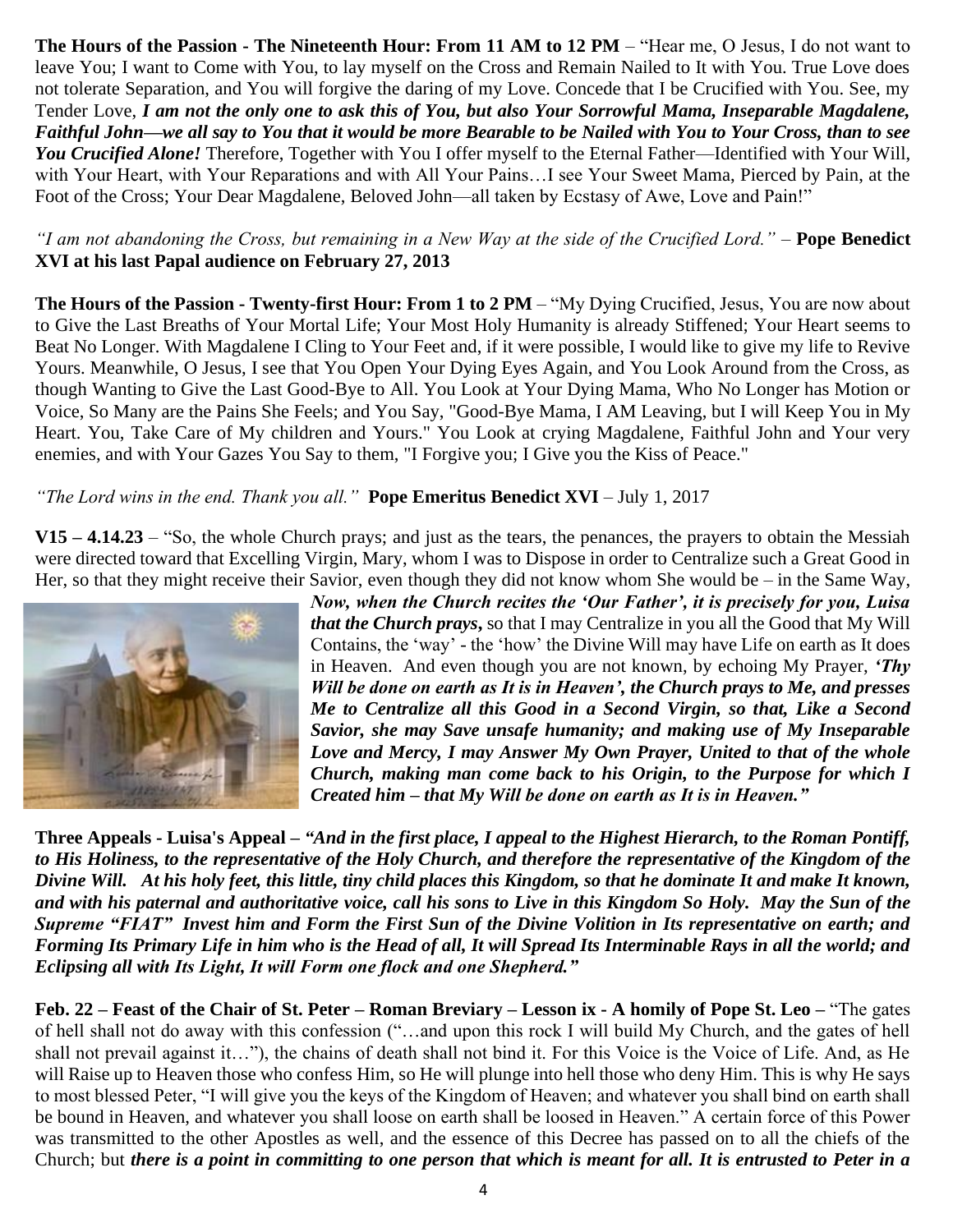**The Hours of the Passion - The Nineteenth Hour: From 11 AM to 12 PM** – "Hear me, O Jesus, I do not want to leave You; I want to Come with You, to lay myself on the Cross and Remain Nailed to It with You. True Love does not tolerate Separation, and You will forgive the daring of my Love. Concede that I be Crucified with You. See, my Tender Love, *I am not the only one to ask this of You, but also Your Sorrowful Mama, Inseparable Magdalene, Faithful John—we all say to You that it would be more Bearable to be Nailed with You to Your Cross, than to see You Crucified Alone!* Therefore, Together with You I offer myself to the Eternal Father—Identified with Your Will, with Your Heart, with Your Reparations and with All Your Pains…I see Your Sweet Mama, Pierced by Pain, at the Foot of the Cross; Your Dear Magdalene, Beloved John—all taken by Ecstasy of Awe, Love and Pain!"

### *"I am not abandoning the Cross, but remaining in a New Way at the side of the Crucified Lord." –* **Pope Benedict XVI at his last Papal audience on February 27, 2013**

**The Hours of the Passion - Twenty-first Hour: From 1 to 2 PM** – "My Dying Crucified, Jesus, You are now about to Give the Last Breaths of Your Mortal Life; Your Most Holy Humanity is already Stiffened; Your Heart seems to Beat No Longer. With Magdalene I Cling to Your Feet and, if it were possible, I would like to give my life to Revive Yours. Meanwhile, O Jesus, I see that You Open Your Dying Eyes Again, and You Look Around from the Cross, as though Wanting to Give the Last Good-Bye to All. You Look at Your Dying Mama, Who No Longer has Motion or Voice, So Many are the Pains She Feels; and You Say, "Good-Bye Mama, I AM Leaving, but I will Keep You in My Heart. You, Take Care of My children and Yours." You Look at crying Magdalene, Faithful John and Your very enemies, and with Your Gazes You Say to them, "I Forgive you; I Give you the Kiss of Peace."

## *"The Lord wins in the end. Thank you all."* **Pope Emeritus Benedict XVI** – July 1, 2017

**V15 – 4.14.23** – "So, the whole Church prays; and just as the tears, the penances, the prayers to obtain the Messiah were directed toward that Excelling Virgin, Mary, whom I was to Dispose in order to Centralize such a Great Good in Her, so that they might receive their Savior, even though they did not know whom She would be – in the Same Way,



*Now, when the Church recites the 'Our Father', it is precisely for you, Luisa that the Church prays***,** so that I may Centralize in you all the Good that My Will Contains, the 'way' - the 'how' the Divine Will may have Life on earth as It does in Heaven. And even though you are not known, by echoing My Prayer, *'Thy Will be done on earth as It is in Heaven', the Church prays to Me, and presses Me to Centralize all this Good in a Second Virgin, so that, Like a Second Savior, she may Save unsafe humanity; and making use of My Inseparable Love and Mercy, I may Answer My Own Prayer, United to that of the whole Church, making man come back to his Origin, to the Purpose for which I Created him – that My Will be done on earth as It is in Heaven."* 

**Three Appeals - Luisa's Appeal –** *"And in the first place, I appeal to the Highest Hierarch, to the Roman Pontiff, to His Holiness, to the representative of the Holy Church, and therefore the representative of the Kingdom of the Divine Will. At his holy feet, this little, tiny child places this Kingdom, so that he dominate It and make It known, and with his paternal and authoritative voice, call his sons to Live in this Kingdom So Holy. May the Sun of the Supreme "FIAT" Invest him and Form the First Sun of the Divine Volition in Its representative on earth; and Forming Its Primary Life in him who is the Head of all, It will Spread Its Interminable Rays in all the world; and Eclipsing all with Its Light, It will Form one flock and one Shepherd."*

**Feb. 22 – Feast of the Chair of St. Peter – Roman Breviary – Lesson ix - A homily of Pope St. Leo –** "The gates of hell shall not do away with this confession ("…and upon this rock I will build My Church, and the gates of hell shall not prevail against it…"), the chains of death shall not bind it. For this Voice is the Voice of Life. And, as He will Raise up to Heaven those who confess Him, so He will plunge into hell those who deny Him. This is why He says to most blessed Peter, "I will give you the keys of the Kingdom of Heaven; and whatever you shall bind on earth shall be bound in Heaven, and whatever you shall loose on earth shall be loosed in Heaven." A certain force of this Power was transmitted to the other Apostles as well, and the essence of this Decree has passed on to all the chiefs of the Church; but *there is a point in committing to one person that which is meant for all. It is entrusted to Peter in a*